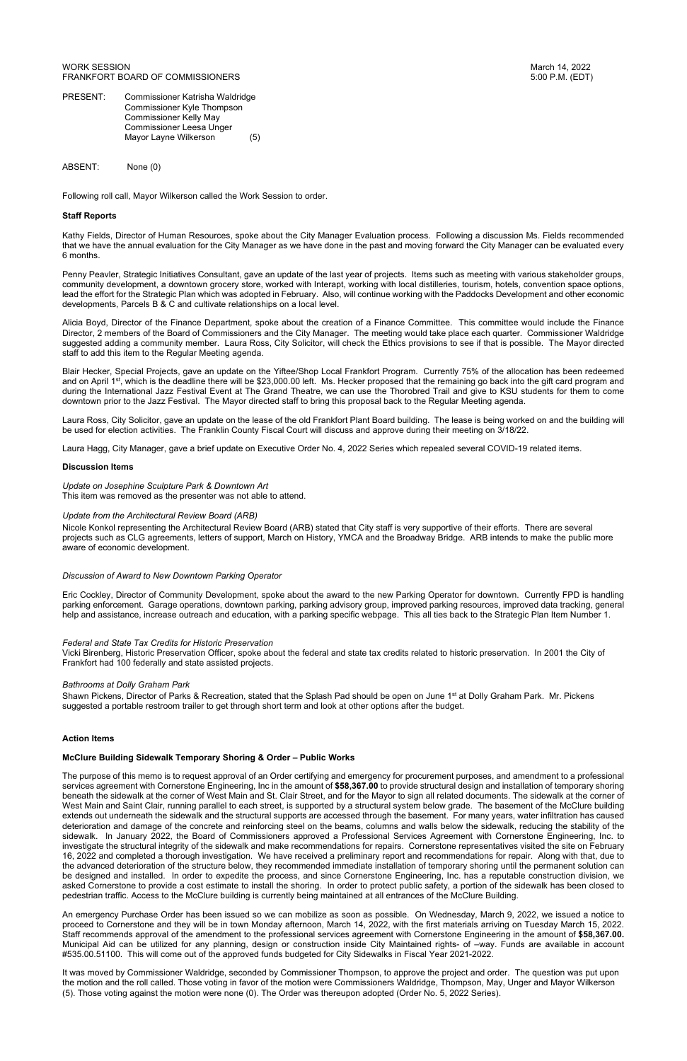PRESENT: Commissioner Katrisha Waldridge Commissioner Kyle Thompson Commissioner Kelly May Commissioner Leesa Unger Mayor Layne Wilkerson (5)

ABSENT: None (0)

Following roll call, Mayor Wilkerson called the Work Session to order.

# **Staff Reports**

Kathy Fields, Director of Human Resources, spoke about the City Manager Evaluation process. Following a discussion Ms. Fields recommended that we have the annual evaluation for the City Manager as we have done in the past and moving forward the City Manager can be evaluated every 6 months.

Penny Peavler, Strategic Initiatives Consultant, gave an update of the last year of projects. Items such as meeting with various stakeholder groups, community development, a downtown grocery store, worked with Interapt, working with local distilleries, tourism, hotels, convention space options, lead the effort for the Strategic Plan which was adopted in February. Also, will continue working with the Paddocks Development and other economic developments, Parcels B & C and cultivate relationships on a local level.

Alicia Boyd, Director of the Finance Department, spoke about the creation of a Finance Committee. This committee would include the Finance Director, 2 members of the Board of Commissioners and the City Manager. The meeting would take place each quarter. Commissioner Waldridge suggested adding a community member. Laura Ross, City Solicitor, will check the Ethics provisions to see if that is possible. The Mayor directed staff to add this item to the Regular Meeting agenda.

Blair Hecker, Special Projects, gave an update on the Yiftee/Shop Local Frankfort Program. Currently 75% of the allocation has been redeemed and on April 1<sup>st</sup>, which is the deadline there will be \$23,000.00 left. Ms. Hecker proposed that the remaining go back into the gift card program and during the International Jazz Festival Event at The Grand Theatre, we can use the Thorobred Trail and give to KSU students for them to come downtown prior to the Jazz Festival. The Mayor directed staff to bring this proposal back to the Regular Meeting agenda.

Shawn Pickens, Director of Parks & Recreation, stated that the Splash Pad should be open on June 1<sup>st</sup> at Dolly Graham Park. Mr. Pickens suggested a portable restroom trailer to get through short term and look at other options after the budget.

Laura Ross, City Solicitor, gave an update on the lease of the old Frankfort Plant Board building. The lease is being worked on and the building will be used for election activities. The Franklin County Fiscal Court will discuss and approve during their meeting on 3/18/22.

Laura Hagg, City Manager, gave a brief update on Executive Order No. 4, 2022 Series which repealed several COVID-19 related items.

## **Discussion Items**

*Update on Josephine Sculpture Park & Downtown Art*  This item was removed as the presenter was not able to attend.

## *Update from the Architectural Review Board (ARB)*

Nicole Konkol representing the Architectural Review Board (ARB) stated that City staff is very supportive of their efforts. There are several projects such as CLG agreements, letters of support, March on History, YMCA and the Broadway Bridge. ARB intends to make the public more aware of economic development.

## *Discussion of Award to New Downtown Parking Operator*

Eric Cockley, Director of Community Development, spoke about the award to the new Parking Operator for downtown. Currently FPD is handling parking enforcement. Garage operations, downtown parking, parking advisory group, improved parking resources, improved data tracking, general help and assistance, increase outreach and education, with a parking specific webpage. This all ties back to the Strategic Plan Item Number 1.

# *Federal and State Tax Credits for Historic Preservation*

Vicki Birenberg, Historic Preservation Officer, spoke about the federal and state tax credits related to historic preservation. In 2001 the City of Frankfort had 100 federally and state assisted projects.

## *Bathrooms at Dolly Graham Park*

#### **Action Items**

#### **McClure Building Sidewalk Temporary Shoring & Order – Public Works**

The purpose of this memo is to request approval of an Order certifying and emergency for procurement purposes, and amendment to a professional

services agreement with Cornerstone Engineering, Inc in the amount of **\$58,367.00** to provide structural design and installation of temporary shoring beneath the sidewalk at the corner of West Main and St. Clair Street, and for the Mayor to sign all related documents. The sidewalk at the corner of West Main and Saint Clair, running parallel to each street, is supported by a structural system below grade. The basement of the McClure building extends out underneath the sidewalk and the structural supports are accessed through the basement. For many years, water infiltration has caused deterioration and damage of the concrete and reinforcing steel on the beams, columns and walls below the sidewalk, reducing the stability of the sidewalk. In January 2022, the Board of Commissioners approved a Professional Services Agreement with Cornerstone Engineering, Inc. to investigate the structural integrity of the sidewalk and make recommendations for repairs. Cornerstone representatives visited the site on February 16, 2022 and completed a thorough investigation. We have received a preliminary report and recommendations for repair. Along with that, due to the advanced deterioration of the structure below, they recommended immediate installation of temporary shoring until the permanent solution can be designed and installed. In order to expedite the process, and since Cornerstone Engineering, Inc. has a reputable construction division, we asked Cornerstone to provide a cost estimate to install the shoring. In order to protect public safety, a portion of the sidewalk has been closed to pedestrian traffic. Access to the McClure building is currently being maintained at all entrances of the McClure Building.

An emergency Purchase Order has been issued so we can mobilize as soon as possible. On Wednesday, March 9, 2022, we issued a notice to proceed to Cornerstone and they will be in town Monday afternoon, March 14, 2022, with the first materials arriving on Tuesday March 15, 2022. Staff recommends approval of the amendment to the professional services agreement with Cornerstone Engineering in the amount of **\$58,367.00.** Municipal Aid can be utilized for any planning, design or construction inside City Maintained rights- of –way. Funds are available in account #535.00.51100. This will come out of the approved funds budgeted for City Sidewalks in Fiscal Year 2021-2022.

It was moved by Commissioner Waldridge, seconded by Commissioner Thompson, to approve the project and order. The question was put upon the motion and the roll called. Those voting in favor of the motion were Commissioners Waldridge, Thompson, May, Unger and Mayor Wilkerson (5). Those voting against the motion were none (0). The Order was thereupon adopted (Order No. 5, 2022 Series).